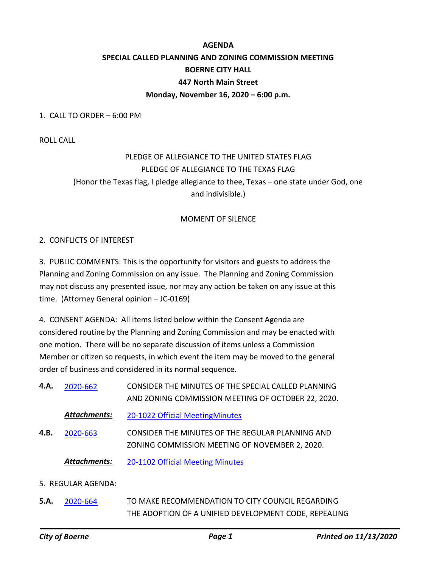## **AGENDA SPECIAL CALLED PLANNING AND ZONING COMMISSION MEETING BOERNE CITY HALL 447 North Main Street Monday, November 16, 2020 – 6:00 p.m.**

#### 1. CALL TO ORDER – 6:00 PM

ROLL CALL

# PLEDGE OF ALLEGIANCE TO THE UNITED STATES FLAG PLEDGE OF ALLEGIANCE TO THE TEXAS FLAG (Honor the Texas flag, I pledge allegiance to thee, Texas – one state under God, one and indivisible.)

#### MOMENT OF SILENCE

#### 2. CONFLICTS OF INTEREST

3. PUBLIC COMMENTS: This is the opportunity for visitors and guests to address the Planning and Zoning Commission on any issue. The Planning and Zoning Commission may not discuss any presented issue, nor may any action be taken on any issue at this time. (Attorney General opinion – JC-0169)

4. CONSENT AGENDA: All items listed below within the Consent Agenda are considered routine by the Planning and Zoning Commission and may be enacted with one motion. There will be no separate discussion of items unless a Commission Member or citizen so requests, in which event the item may be moved to the general order of business and considered in its normal sequence.

| 4.A.               | 2020-662            | CONSIDER THE MINUTES OF THE SPECIAL CALLED PLANNING<br>AND ZONING COMMISSION MEETING OF OCTOBER 22, 2020. |
|--------------------|---------------------|-----------------------------------------------------------------------------------------------------------|
|                    | <b>Attachments:</b> | 20-1022 Official MeetingMinutes                                                                           |
| 4.B.               | 2020-663            | CONSIDER THE MINUTES OF THE REGULAR PLANNING AND<br>ZONING COMMISSION MEETING OF NOVEMBER 2, 2020.        |
|                    | <b>Attachments:</b> | 20-1102 Official Meeting Minutes                                                                          |
| 5. REGULAR AGENDA: |                     |                                                                                                           |

TO MAKE RECOMMENDATION TO CITY COUNCIL REGARDING THE ADOPTION OF A UNIFIED DEVELOPMENT CODE, REPEALING **5.A.** 2020-664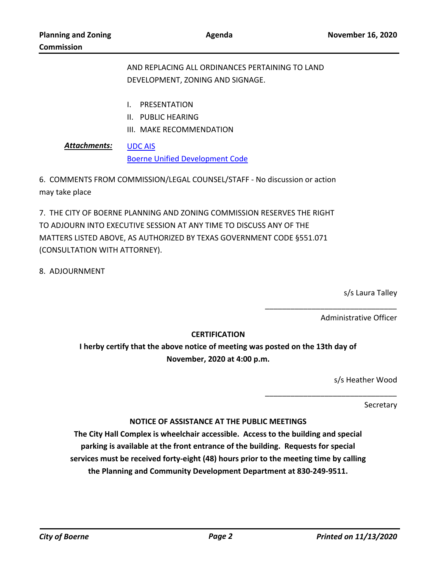## AND REPLACING ALL ORDINANCES PERTAINING TO LAND DEVELOPMENT, ZONING AND SIGNAGE.

- I. PRESENTATION
- II. PUBLIC HEARING
- III. MAKE RECOMMENDATION

UDC AIS Boerne Unified Development Code *Attachments:*

6. COMMENTS FROM COMMISSION/LEGAL COUNSEL/STAFF - No discussion or action may take place

7. THE CITY OF BOERNE PLANNING AND ZONING COMMISSION RESERVES THE RIGHT TO ADJOURN INTO EXECUTIVE SESSION AT ANY TIME TO DISCUSS ANY OF THE MATTERS LISTED ABOVE, AS AUTHORIZED BY TEXAS GOVERNMENT CODE §551.071 (CONSULTATION WITH ATTORNEY).

8. ADJOURNMENT

s/s Laura Talley

Administrative Officer

\_\_\_\_\_\_\_\_\_\_\_\_\_\_\_\_\_\_\_\_\_\_\_\_\_\_\_\_\_\_\_

\_\_\_\_\_\_\_\_\_\_\_\_\_\_\_\_\_\_\_\_\_\_\_\_\_\_\_\_\_\_\_

### **CERTIFICATION**

**I herby certify that the above notice of meeting was posted on the 13th day of November, 2020 at 4:00 p.m.**

s/s Heather Wood

**Secretary** 

### **NOTICE OF ASSISTANCE AT THE PUBLIC MEETINGS**

**The City Hall Complex is wheelchair accessible. Access to the building and special parking is available at the front entrance of the building. Requests for special services must be received forty-eight (48) hours prior to the meeting time by calling the Planning and Community Development Department at 830-249-9511.**